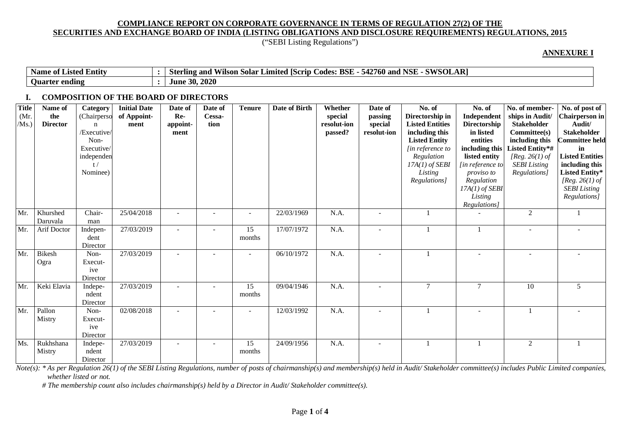("SEBI Listing Regulations")

#### **ANNEXURE I**

| $\cdot$ .<br>Name of<br>Listed Entity | $\sim$ - SWSO <sup><math>\sim</math></sup><br><b>NSE</b><br>D<br>542<br><b>BSE</b><br>. гс<br>'SOLAR'<br>'760 and .<br>and<br>Limited<br>odes .<br>Wilson<br>. ISCrid<br>solar<br>rlıng<br>Ster |
|---------------------------------------|-------------------------------------------------------------------------------------------------------------------------------------------------------------------------------------------------|
| ∽<br>ending<br><b>Ouarter</b>         | $= 30, 2020$<br>June                                                                                                                                                                            |

### **I. COMPOSITION OF THE BOARD OF DIRECTORS**

| <b>Title</b><br>(Mr.<br>/Ms. | Name of<br>the<br><b>Director</b> | <b>Category</b><br>(Chairperso<br>$\mathbf n$<br>/Executive/<br>Non-<br>Executive/<br>independen<br>t/<br>Nominee) | <b>Initial Date</b><br>of Appoint-<br>ment | Date of<br>Re-<br>appoint-<br>ment | Date of<br>Cessa-<br>tion | <b>Tenure</b> | Date of Birth | Whether<br>special<br>resolut-ion<br>passed? | Date of<br>passing<br>special<br>resolut-ion | No. of<br>Directorship in<br><b>Listed Entities</b><br>including this<br><b>Listed Entity</b><br>[in reference to<br>Regulation<br>$17A(1)$ of SEBI<br>Listing<br>Regulations] | No. of<br>Independent<br><b>Directorship</b><br>in listed<br>entities<br>including this<br>listed entity<br>[in reference to]<br>proviso to<br>Regulation<br>$17A(1)$ of SEBI<br>Listing | No. of member-<br>ships in Audit/<br><b>Stakeholder</b><br>Committee(s)<br>including this<br>Listed Entity*#<br>[ $Reg. 26(1)$ of<br><b>SEBI</b> Listing<br>Regulations] | No. of post of<br>Chairperson in<br>Audit/<br><b>Stakeholder</b><br><b>Committee held</b><br>in<br><b>Listed Entities</b><br>including this<br>Listed Entity*<br>[Reg. 26(1) of<br><b>SEBI</b> Listing<br>Regulations] |
|------------------------------|-----------------------------------|--------------------------------------------------------------------------------------------------------------------|--------------------------------------------|------------------------------------|---------------------------|---------------|---------------|----------------------------------------------|----------------------------------------------|--------------------------------------------------------------------------------------------------------------------------------------------------------------------------------|------------------------------------------------------------------------------------------------------------------------------------------------------------------------------------------|--------------------------------------------------------------------------------------------------------------------------------------------------------------------------|------------------------------------------------------------------------------------------------------------------------------------------------------------------------------------------------------------------------|
| Mr.                          | Khurshed                          | Chair-                                                                                                             | 25/04/2018                                 | $\blacksquare$                     |                           |               | 22/03/1969    | N.A.                                         |                                              |                                                                                                                                                                                | Regulations]                                                                                                                                                                             | 2                                                                                                                                                                        |                                                                                                                                                                                                                        |
|                              | Daruvala                          | man                                                                                                                |                                            |                                    |                           |               |               |                                              |                                              |                                                                                                                                                                                |                                                                                                                                                                                          |                                                                                                                                                                          |                                                                                                                                                                                                                        |
| Mr.                          | Arif Doctor                       | Indepen-<br>dent<br>Director                                                                                       | 27/03/2019                                 | $\blacksquare$                     |                           | 15<br>months  | 17/07/1972    | N.A.                                         |                                              |                                                                                                                                                                                |                                                                                                                                                                                          |                                                                                                                                                                          |                                                                                                                                                                                                                        |
| Mr.                          | <b>Bikesh</b><br>Ogra             | Non-<br>Execut-<br>ive<br>Director                                                                                 | 27/03/2019                                 |                                    |                           |               | 06/10/1972    | N.A.                                         |                                              |                                                                                                                                                                                |                                                                                                                                                                                          |                                                                                                                                                                          |                                                                                                                                                                                                                        |
| Mr.                          | Keki Elavia                       | Indepe-<br>ndent<br>Director                                                                                       | 27/03/2019                                 |                                    |                           | 15<br>months  | 09/04/1946    | N.A.                                         |                                              | $\tau$                                                                                                                                                                         | $\overline{7}$                                                                                                                                                                           | 10                                                                                                                                                                       | 5                                                                                                                                                                                                                      |
| Mr.                          | Pallon<br>Mistry                  | Non-<br>Execut-<br>ive<br>Director                                                                                 | 02/08/2018                                 |                                    |                           |               | 12/03/1992    | N.A.                                         |                                              |                                                                                                                                                                                |                                                                                                                                                                                          |                                                                                                                                                                          |                                                                                                                                                                                                                        |
| Ms.                          | Rukhshana<br>Mistry               | Indepe-<br>ndent<br>Director                                                                                       | 27/03/2019                                 | $\overline{\phantom{a}}$           |                           | 15<br>months  | 24/09/1956    | N.A.                                         |                                              |                                                                                                                                                                                |                                                                                                                                                                                          | 2                                                                                                                                                                        |                                                                                                                                                                                                                        |

Note(s): \* As per Regulation 26(1) of the SEBI Listing Regulations, number of posts of chairmanship(s) and membership(s) held in Audit/Stakeholder committee(s) includes Public Limited companies, *whether listed or not.*

 *# The membership count also includes chairmanship(s) held by a Director in Audit/ Stakeholder committee(s).*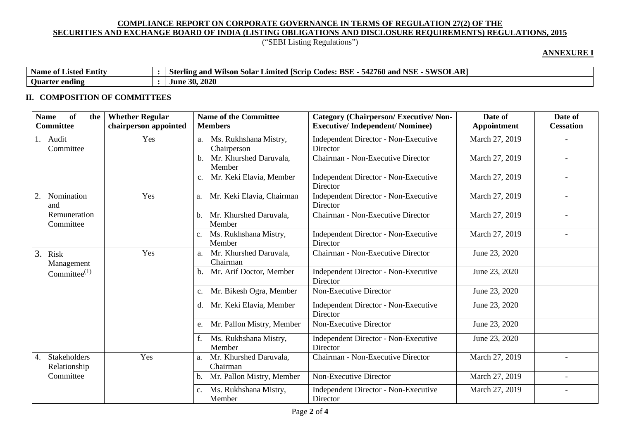# ("SEBI Listing Regulations")

## **ANNEXURE I**

| Name<br>$\cdot$ .<br>e of Listed Entity | AR)<br><b>SWSOL.</b><br><b>NSI</b><br><b>BSE</b><br>542<br>$\tilde{\phantom{a}}$<br>760<br>Codes:<br>and<br>Limited<br>IScrip<br>and<br>√ilson Solar<br>Sterling |
|-----------------------------------------|------------------------------------------------------------------------------------------------------------------------------------------------------------------|
| ⌒<br><b>Ouarter ending</b>              | 2020<br>20<br>June<br>лv.                                                                                                                                        |

### **II. COMPOSITION OF COMMITTEES**

| <b>of</b><br><b>Whether Regular</b><br><b>Name</b><br>the<br><b>Committee</b><br>chairperson appointed | <b>Name of the Committee</b><br><b>Members</b> | <b>Category (Chairperson/Executive/Non-</b><br><b>Executive/Independent/Nominee)</b> | Date of<br>Appointment | Date of<br><b>Cessation</b> |
|--------------------------------------------------------------------------------------------------------|------------------------------------------------|--------------------------------------------------------------------------------------|------------------------|-----------------------------|
| 1. Audit<br>Yes<br>Committee                                                                           | Ms. Rukhshana Mistry,<br>a.<br>Chairperson     | Independent Director - Non-Executive<br>Director                                     | March 27, 2019         |                             |
|                                                                                                        | Mr. Khurshed Daruvala,<br>Member               | Chairman - Non-Executive Director                                                    | March 27, 2019         |                             |
|                                                                                                        | Mr. Keki Elavia, Member<br>$C_{\bullet}$       | <b>Independent Director - Non-Executive</b><br>Director                              | March 27, 2019         |                             |
| Yes<br>Nomination<br>2.<br>and                                                                         | Mr. Keki Elavia, Chairman<br>a.                | Independent Director - Non-Executive<br>Director                                     | March 27, 2019         |                             |
| Remuneration<br>Committee                                                                              | Mr. Khurshed Daruvala,<br>b.<br>Member         | Chairman - Non-Executive Director                                                    | March 27, 2019         | $\overline{\phantom{a}}$    |
|                                                                                                        | Ms. Rukhshana Mistry,<br>$c_{\cdot}$<br>Member | Independent Director - Non-Executive<br>Director                                     | March 27, 2019         |                             |
| Yes<br>3. Risk<br>Management                                                                           | Mr. Khurshed Daruvala,<br>a.<br>Chairman       | Chairman - Non-Executive Director                                                    | June 23, 2020          |                             |
| Committee $^{(1)}$                                                                                     | Mr. Arif Doctor, Member<br>b.                  | Independent Director - Non-Executive<br>Director                                     | June 23, 2020          |                             |
|                                                                                                        | Mr. Bikesh Ogra, Member<br>c.                  | Non-Executive Director                                                               | June 23, 2020          |                             |
|                                                                                                        | Mr. Keki Elavia, Member<br>d.                  | Independent Director - Non-Executive<br>Director                                     | June 23, 2020          |                             |
|                                                                                                        | Mr. Pallon Mistry, Member<br>e.                | Non-Executive Director                                                               | June 23, 2020          |                             |
|                                                                                                        | Ms. Rukhshana Mistry,<br>Member                | Independent Director - Non-Executive<br>Director                                     | June 23, 2020          |                             |
| Yes<br>Stakeholders<br>4.<br>Relationship                                                              | Mr. Khurshed Daruvala,<br>a.<br>Chairman       | Chairman - Non-Executive Director                                                    | March 27, 2019         |                             |
| Committee                                                                                              | Mr. Pallon Mistry, Member<br>b.                | Non-Executive Director                                                               | March 27, 2019         |                             |
|                                                                                                        | Ms. Rukhshana Mistry,<br>c.<br>Member          | <b>Independent Director - Non-Executive</b><br>Director                              | March 27, 2019         |                             |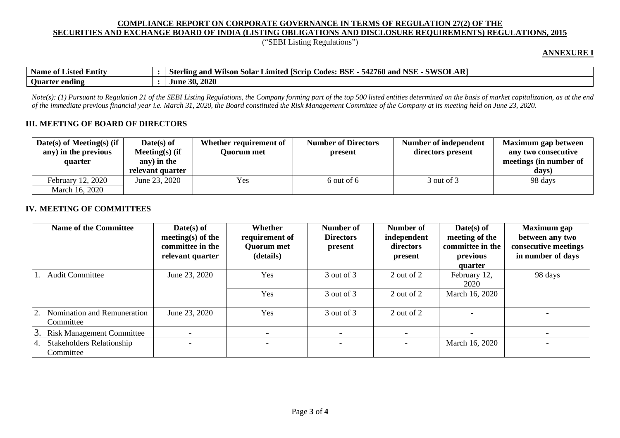("SEBI Listing Regulations")

#### **ANNEXURE I**

| Name of<br>Listed<br>. Entity | <b>SOLAR</b><br><b>NSE</b><br><b>CIVICUL</b><br>$- - - - -$<br>542760 and<br><b>BSE</b><br>$\mathbf{C}$<br>Limited Scrip<br>vilson Solar<br>Sterling and<br>Codes: ' |
|-------------------------------|----------------------------------------------------------------------------------------------------------------------------------------------------------------------|
| ending<br><b>Juarter</b>      | . 2020<br>-30.<br>June                                                                                                                                               |

*Note(s): (1) Pursuant to Regulation 21 of the SEBI Listing Regulations, the Company forming part of the top 500 listed entities determined on the basis of market capitalization, as at the end of the immediate previous financial year i.e. March 31, 2020, the Board constituted the Risk Management Committee of the Company at its meeting held on June 23, 2020.*

#### **III. MEETING OF BOARD OF DIRECTORS**

| Date(s) of Meeting(s) (if<br>any) in the previous<br>quarter | $Date(s)$ of<br>Meeting $(s)$ (if<br>any) in the<br>relevant quarter | Whether requirement of<br>Ouorum met | <b>Number of Directors</b><br>present | Number of independent<br>directors present | Maximum gap between<br>any two consecutive<br>meetings (in number of<br>days) |
|--------------------------------------------------------------|----------------------------------------------------------------------|--------------------------------------|---------------------------------------|--------------------------------------------|-------------------------------------------------------------------------------|
| February 12, 2020<br>March 16, 2020                          | June 23, 2020                                                        | Yes                                  | $6$ out of $6$                        | 3 out of 3                                 | 98 days                                                                       |

#### **IV. MEETING OF COMMITTEES**

|    | <b>Name of the Committee</b>                  | $Date(s)$ of<br>meeting(s) of the<br>committee in the<br>relevant quarter | Whether<br>requirement of<br><b>Quorum met</b><br>(details) | Number of<br><b>Directors</b><br>present | Number of<br>independent<br>directors<br>present | $Date(s)$ of<br>meeting of the<br>committee in the<br>previous<br>quarter | <b>Maximum</b> gap<br>between any two<br>consecutive meetings<br>in number of days |
|----|-----------------------------------------------|---------------------------------------------------------------------------|-------------------------------------------------------------|------------------------------------------|--------------------------------------------------|---------------------------------------------------------------------------|------------------------------------------------------------------------------------|
|    | <b>Audit Committee</b>                        | June 23, 2020                                                             | Yes                                                         | 3 out of 3                               | 2 out of 2                                       | February 12,<br>2020                                                      | 98 days                                                                            |
|    |                                               |                                                                           | Yes                                                         | 3 out of 3                               | 2 out of 2                                       | March 16, 2020                                                            |                                                                                    |
|    | Nomination and Remuneration<br>Committee      | June 23, 2020                                                             | Yes                                                         | 3 out of 3                               | 2 out of 2                                       |                                                                           |                                                                                    |
|    | <b>Risk Management Committee</b>              |                                                                           |                                                             | $\overline{\phantom{0}}$                 | $\overline{\phantom{0}}$                         |                                                                           |                                                                                    |
| 4. | <b>Stakeholders Relationship</b><br>Committee |                                                                           |                                                             | $\overline{\phantom{0}}$                 | $\overline{\phantom{a}}$                         | March 16, 2020                                                            |                                                                                    |